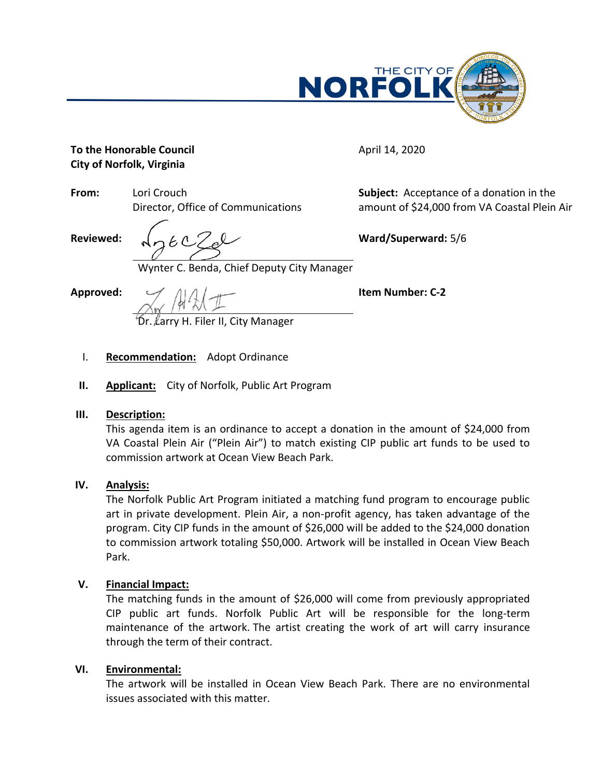

**Subject:** Acceptance of a donation in the amount of \$24,000 from VA Coastal Plein Air

April 14, 2020

#### **To the Honorable Council City of Norfolk, Virginia**

**From:** Lori Crouch Director, Office of Communications

**Reviewed:**

Wynter C. Benda, Chief Deputy City Manager

**Approved:**

**Item Number: C-2**

**Ward/Superward:** 5/6

Larry H. Filer II. City Manager

- I. **Recommendation:** Adopt Ordinance
- **II. Applicant:** City of Norfolk, Public Art Program

## **III. Description:**

This agenda item is an ordinance to accept a donation in the amount of \$24,000 from VA Coastal Plein Air ("Plein Air") to match existing CIP public art funds to be used to commission artwork at Ocean View Beach Park.

## **IV. Analysis:**

The Norfolk Public Art Program initiated a matching fund program to encourage public art in private development. Plein Air, a non-profit agency, has taken advantage of the program. City CIP funds in the amount of \$26,000 will be added to the \$24,000 donation to commission artwork totaling \$50,000. Artwork will be installed in Ocean View Beach Park.

## **V. Financial Impact:**

The matching funds in the amount of \$26,000 will come from previously appropriated CIP public art funds. Norfolk Public Art will be responsible for the long-term maintenance of the artwork. The artist creating the work of art will carry insurance through the term of their contract.

## **VI. Environmental:**

The artwork will be installed in Ocean View Beach Park. There are no environmental issues associated with this matter.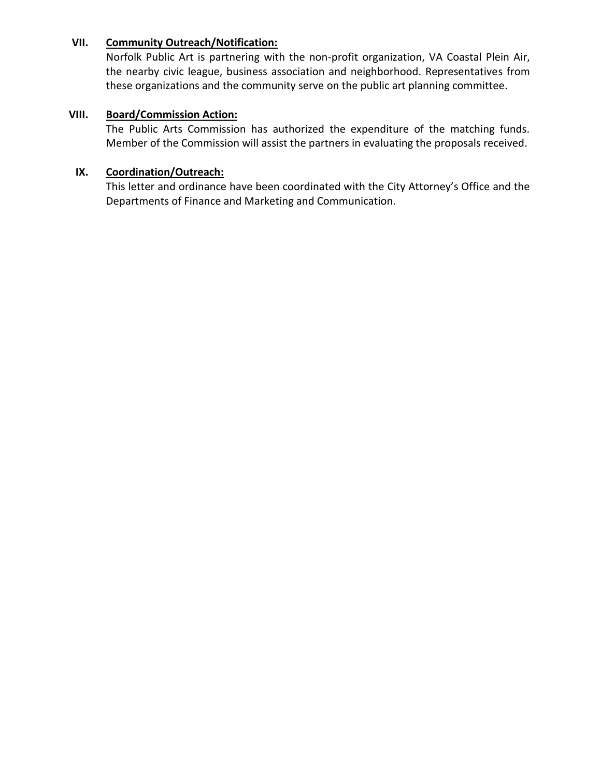#### **VII. Community Outreach/Notification:**

Norfolk Public Art is partnering with the non-profit organization, VA Coastal Plein Air, the nearby civic league, business association and neighborhood. Representatives from these organizations and the community serve on the public art planning committee.

#### **VIII. Board/Commission Action:**

The Public Arts Commission has authorized the expenditure of the matching funds. Member of the Commission will assist the partners in evaluating the proposals received.

#### **IX. Coordination/Outreach:**

This letter and ordinance have been coordinated with the City Attorney's Office and the Departments of Finance and Marketing and Communication.